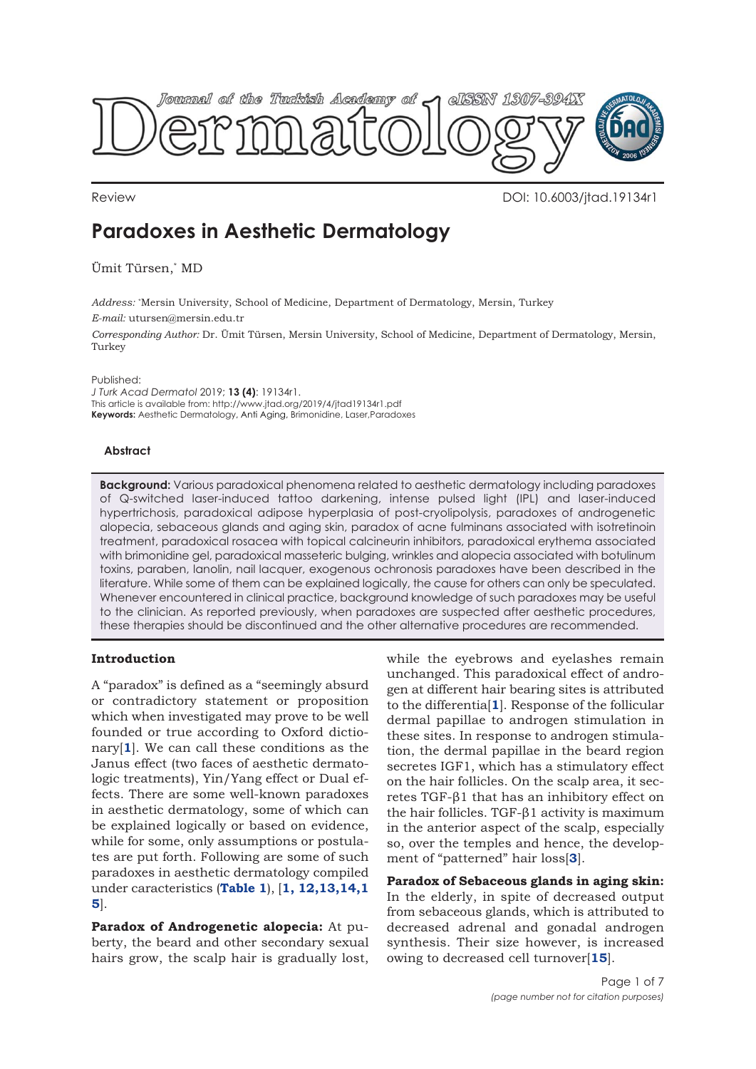

Review DOI: 10.6003/jtad.19134r1

# **Paradoxes in Aesthetic Dermatology**

Ümit Türsen,\* MD

*Address:* \* Mersin University, School of Medicine, Department of Dermatology, Mersin, Turkey *E-mail:* utursen@mersin.edu.tr

*Corresponding Author:* Dr. Ümit Türsen, Mersin University, School of Medicine, Department of Dermatology, Mersin, Turkey

Published:

*J Turk Acad Dermatol* 2019; **13 (4)**: 19134r1. This article is available from: http://www.jtad.org/2019/4/jtad19134r1.pdf **Keywords:** Aesthetic Dermatology, Anti Aging, Brimonidine, Laser,Paradoxes

## **Abstract**

**Background:** Various paradoxical phenomena related to aesthetic dermatology including paradoxes of Q-switched laser-induced tattoo darkening, intense pulsed light (IPL) and laser-induced hypertrichosis, paradoxical adipose hyperplasia of post-cryolipolysis, paradoxes of androgenetic alopecia, sebaceous glands and aging skin, paradox of acne fulminans associated with isotretinoin treatment, paradoxical rosacea with topical calcineurin inhibitors, paradoxical erythema associated with brimonidine gel, paradoxical masseteric bulging, wrinkles and alopecia associated with botulinum toxins, paraben, lanolin, nail lacquer, exogenous ochronosis paradoxes have been described in the literature. While some of them can be explained logically, the cause for others can only be speculated. Whenever encountered in clinical practice, background knowledge of such paradoxes may be useful to the clinician. As reported previously, when paradoxes are suspected after aesthetic procedures, these therapies should be discontinued and the other alternative procedures are recommended.

# **Introduction**

A "paradox" is defined as a "seemingly absurd or contradictory statement or proposition which when investigated may prove to be well founded or true according to Oxford dictionary[**1**]. We can call these conditions as the Janus effect (two faces of aesthetic dermatologic treatments), Yin/Yang effect or Dual effects. There are some well-known paradoxes in aesthetic dermatology, some of which can be explained logically or based on evidence, while for some, only assumptions or postulates are put forth. Following are some of such paradoxes in aesthetic dermatology compiled under caracteristics (**[Table 1](#page-1-0)**), [**[1, 12](#page-5-0)[,13,14,1](#page-6-0) 5**].

**Paradox of Androgenetic alopecia:** At puberty, the beard and other secondary sexual hairs grow, the scalp hair is gradually lost,

while the eyebrows and eyelashes remain unchanged. This paradoxical effect of androgen at different hair bearing sites is attributed to the differentia[**1**]. Response of the follicular dermal papillae to androgen stimulation in these sites. In response to androgen stimulation, the dermal papillae in the beard region secretes IGF1, which has a stimulatory effect on the hair follicles. On the scalp area, it secretes TGF-β1 that has an inhibitory effect on the hair follicles. TGF-β1 activity is maximum in the anterior aspect of the scalp, especially so, over the temples and hence, the development of "patterned" hair loss[**[3](#page-5-0)**].

**Paradox of Sebaceous glands in aging skin:** In the elderly, in spite of decreased output from sebaceous glands, which is attributed to decreased adrenal and gonadal androgen synthesis. Their size however, is increased owing to decreased cell turnover[**[15](#page-6-0)**].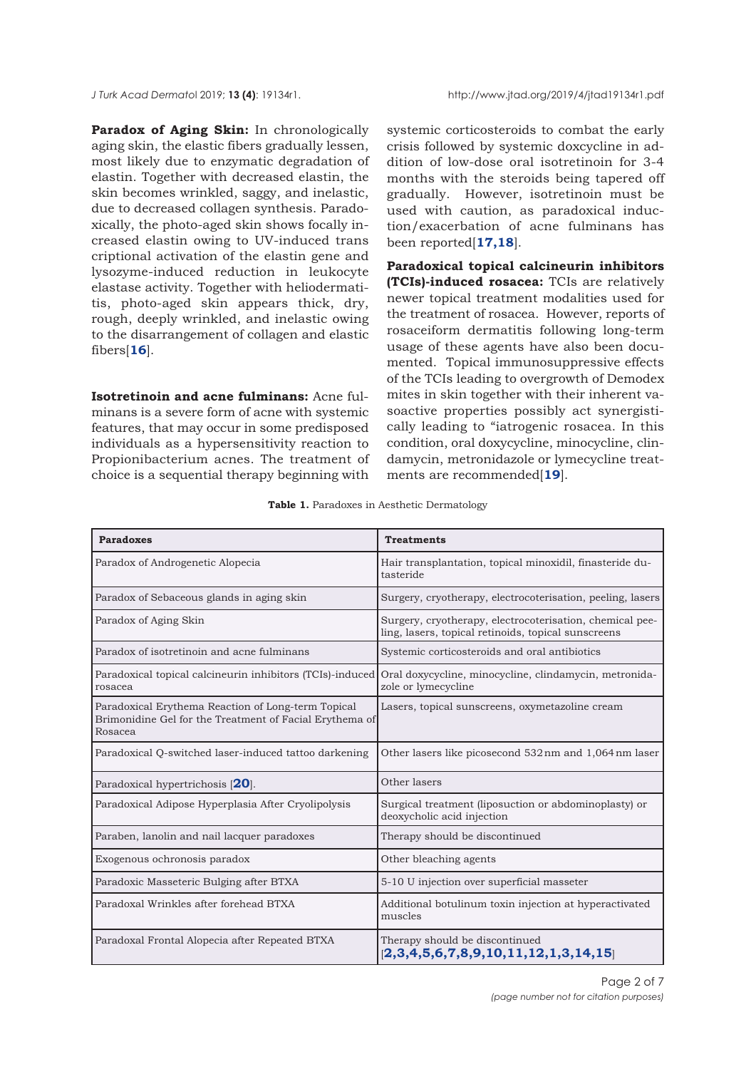<span id="page-1-0"></span>

**Paradox of Aging Skin:** In chronologically aging skin, the elastic fibers gradually lessen, most likely due to enzymatic degradation of elastin. Together with decreased elastin, the skin becomes wrinkled, saggy, and inelastic, due to decreased collagen synthesis. Paradoxically, the photo-aged skin shows focally increased elastin owing to UV-induced trans criptional activation of the elastin gene and lysozyme-induced reduction in leukocyte elastase activity. Together with heliodermatitis, photo-aged skin appears thick, dry, rough, deeply wrinkled, and inelastic owing to the disarrangement of collagen and elastic fibers[**[16](#page-6-0)**].

**Isotretinoin and acne fulminans:** Acne fulminans is a severe form of acne with systemic features, that may occur in some predisposed individuals as a hypersensitivity reaction to Propionibacterium acnes. The treatment of choice is a sequential therapy beginning with systemic corticosteroids to combat the early crisis followed by systemic doxcycline in addition of low-dose oral isotretinoin for 3-4 months with the steroids being tapered off gradually. However, isotretinoin must be used with caution, as paradoxical induction/exacerbation of acne fulminans has been reported[**[17,18](#page-6-0)**].

**Paradoxical topical calcineurin inhibitors (TCIs)-induced rosacea:** TCIs are relatively newer topical treatment modalities used for the treatment of rosacea. However, reports of rosaceiform dermatitis following long-term usage of these agents have also been documented. Topical immunosuppressive effects of the TCIs leading to overgrowth of Demodex mites in skin together with their inherent vasoactive properties possibly act synergistically leading to "iatrogenic rosacea. In this condition, oral doxycycline, minocycline, clindamycin, metronidazole or lymecycline treatments are recommended[**[19](#page-6-0)**].

|  |  |  | <b>Table 1.</b> Paradoxes in Aesthetic Dermatology |  |
|--|--|--|----------------------------------------------------|--|
|  |  |  |                                                    |  |

| <b>Paradoxes</b>                                                                                                         | <b>Treatments</b>                                                                                               |
|--------------------------------------------------------------------------------------------------------------------------|-----------------------------------------------------------------------------------------------------------------|
| Paradox of Androgenetic Alopecia                                                                                         | Hair transplantation, topical minoxidil, finasteride du-<br>tasteride                                           |
| Paradox of Sebaceous glands in aging skin                                                                                | Surgery, cryotherapy, electrocoterisation, peeling, lasers                                                      |
| Paradox of Aging Skin                                                                                                    | Surgery, cryotherapy, electrocoterisation, chemical pee-<br>ling, lasers, topical retinoids, topical sunscreens |
| Paradox of isotretinoin and acne fulminans                                                                               | Systemic corticosteroids and oral antibiotics                                                                   |
| Paradoxical topical calcineurin inhibitors (TCIs)-induced<br>rosacea                                                     | Oral doxycycline, minocycline, clindamycin, metronida-<br>zole or lymecycline                                   |
| Paradoxical Erythema Reaction of Long-term Topical<br>Brimonidine Gel for the Treatment of Facial Erythema of<br>Rosacea | Lasers, topical sunscreens, oxymetazoline cream                                                                 |
| Paradoxical Q-switched laser-induced tattoo darkening                                                                    | Other lasers like picosecond 532 nm and 1,064 nm laser                                                          |
| Paradoxical hypertrichosis [20].                                                                                         | Other lasers                                                                                                    |
| Paradoxical Adipose Hyperplasia After Cryolipolysis                                                                      | Surgical treatment (liposuction or abdominoplasty) or<br>deoxycholic acid injection                             |
| Paraben, lanolin and nail lacquer paradoxes                                                                              | Therapy should be discontinued                                                                                  |
| Exogenous ochronosis paradox                                                                                             | Other bleaching agents                                                                                          |
| Paradoxic Masseteric Bulging after BTXA                                                                                  | 5-10 U injection over superficial masseter                                                                      |
| Paradoxal Wrinkles after forehead BTXA                                                                                   | Additional botulinum toxin injection at hyperactivated<br>muscles                                               |
| Paradoxal Frontal Alopecia after Repeated BTXA                                                                           | Therapy should be discontinued<br>[2,3,4,5,6,7,8,9,10,11,12,1,3,14,15]                                          |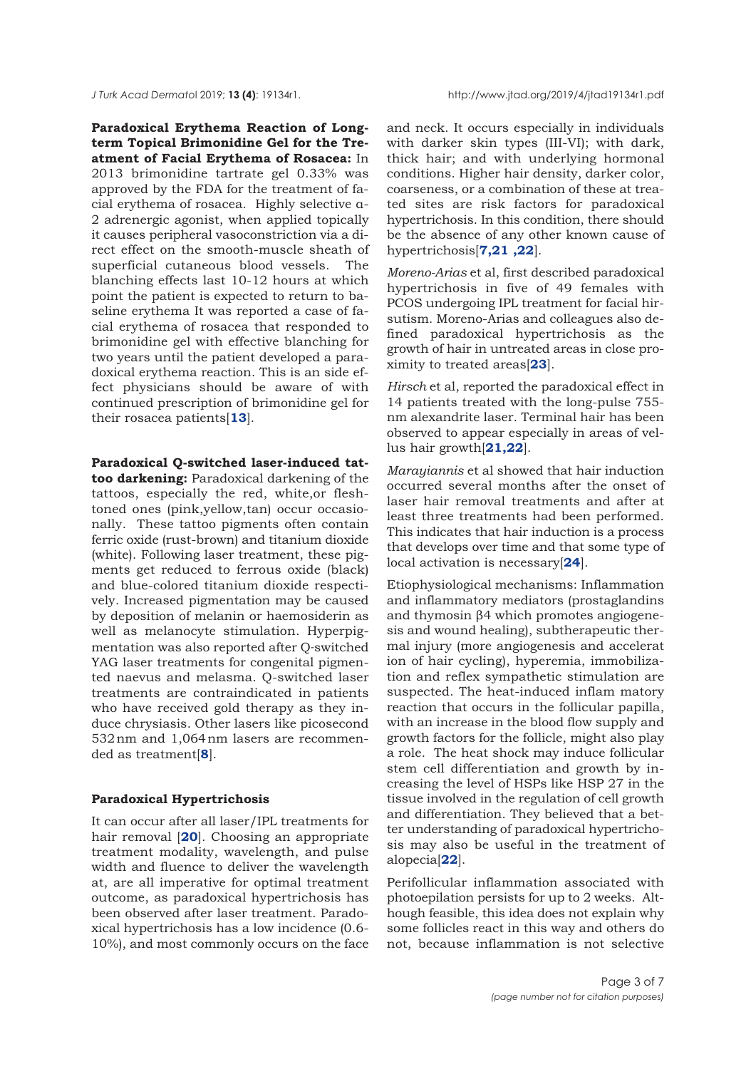**Paradoxical Erythema Reaction of Longterm Topical Brimonidine Gel for the Treatment of Facial Erythema of Rosacea:** In 2013 brimonidine tartrate gel 0.33% was approved by the FDA for the treatment of facial erythema of rosacea. Highly selective α-2 adrenergic agonist, when applied topically it causes peripheral vasoconstriction via a direct effect on the smooth-muscle sheath of superficial cutaneous blood vessels. The blanching effects last 10-12 hours at which point the patient is expected to return to baseline erythema It was reported a case of facial erythema of rosacea that responded to brimonidine gel with effective blanching for two years until the patient developed a paradoxical erythema reaction. This is an side effect physicians should be aware of with continued prescription of brimonidine gel for their rosacea patients[**[13](#page-5-0)**].

**Paradoxical Q-switched laser-induced tattoo darkening:** Paradoxical darkening of the tattoos, especially the red, white,or fleshtoned ones (pink,yellow,tan) occur occasionally. These tattoo pigments often contain ferric oxide (rust-brown) and titanium dioxide (white). Following laser treatment, these pigments get reduced to ferrous oxide (black) and blue-colored titanium dioxide respectively. Increased pigmentation may be caused by deposition of melanin or haemosiderin as well as melanocyte stimulation. Hyperpigmentation was also reported after Q-switched YAG laser treatments for congenital pigmented naevus and melasma. Q-switched laser treatments are contraindicated in patients who have received gold therapy as they induce chrysiasis. Other lasers like picosecond 532 nm and 1,064 nm lasers are recommended as treatment[**[8](#page-5-0)**].

#### **Paradoxical Hypertrichosis**

It can occur after all laser/IPL treatments for hair removal [**[20](#page-6-0)**]. Choosing an appropriate treatment modality, wavelength, and pulse width and fluence to deliver the wavelength at, are all imperative for optimal treatment outcome, as paradoxical hypertrichosis has been observed after laser treatment. Paradoxical hypertrichosis has a low incidence (0.6- 10%), and most commonly occurs on the face

and neck. It occurs especially in individuals with darker skin types (III-VI); with dark, thick hair; and with underlying hormonal conditions. Higher hair density, darker color, coarseness, or a combination of these at treated sites are risk factors for paradoxical hypertrichosis. In this condition, there should be the absence of any other known cause of hypertrichosis[**[7](#page-5-0),[21 ,22](#page-6-0)**].

*Moreno-Arias* et al, first described paradoxical hypertrichosis in five of 49 females with PCOS undergoing IPL treatment for facial hirsutism. Moreno-Arias and colleagues also defined paradoxical hypertrichosis as the growth of hair in untreated areas in close proximity to treated areas[**23**].

*Hirsch* et al, reported the paradoxical effect in 14 patients treated with the long-pulse 755 nm alexandrite laser. Terminal hair has been observed to appear especially in areas of vellus hair growth[**21,22**].

*Marayiannis* et al showed that hair induction occurred several months after the onset of laser hair removal treatments and after at least three treatments had been performed. This indicates that hair induction is a process that develops over time and that some type of local activation is necessary[**[24](#page-6-0)**].

Etiophysiological mechanisms: Inflammation and inflammatory mediators (prostaglandins and thymosin β4 which promotes angiogenesis and wound healing), subtherapeutic thermal injury (more angiogenesis and accelerat ion of hair cycling), hyperemia, immobilization and reflex sympathetic stimulation are suspected. The heat-induced inflam matory reaction that occurs in the follicular papilla, with an increase in the blood flow supply and growth factors for the follicle, might also play a role. The heat shock may induce follicular stem cell differentiation and growth by increasing the level of HSPs like HSP 27 in the tissue involved in the regulation of cell growth and differentiation. They believed that a better understanding of paradoxical hypertrichosis may also be useful in the treatment of alopecia[**[22](#page-6-0)**].

Perifollicular inflammation associated with photoepilation persists for up to 2 weeks. Although feasible, this idea does not explain why some follicles react in this way and others do not, because inflammation is not selective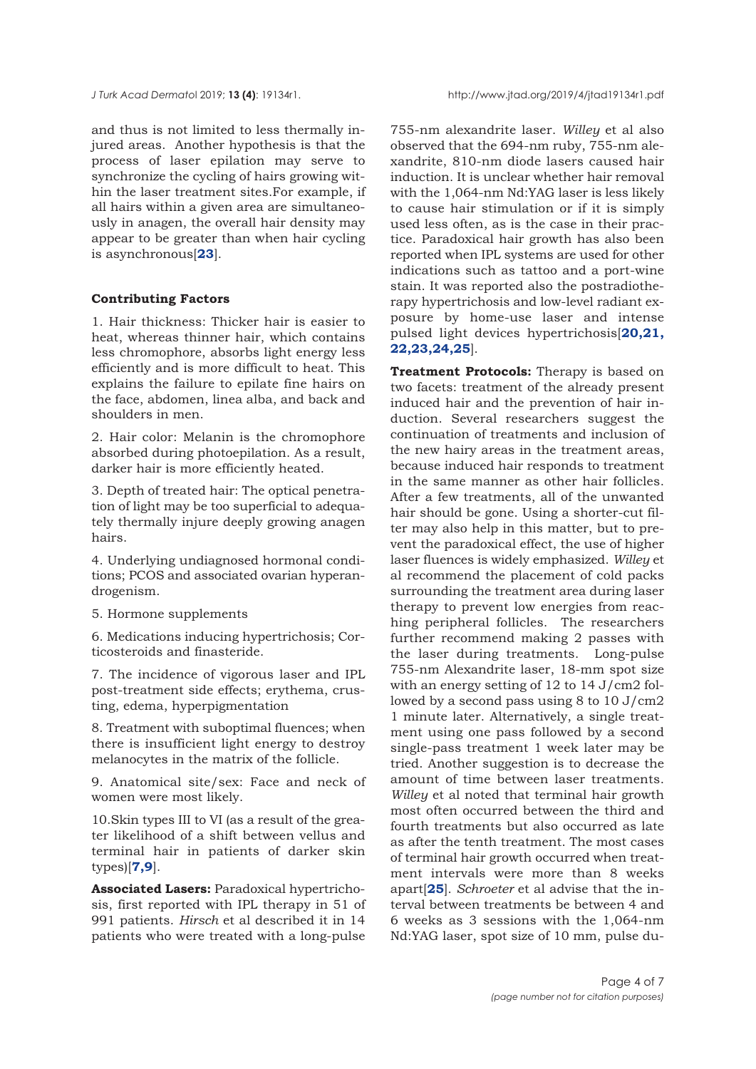*J Turk Acad Dermato*l 2019; **13 (4)**: 19134r1. http://www.jtad.org/2019/4/jtad19134r1.pdf

and thus is not limited to less thermally injured areas. Another hypothesis is that the process of laser epilation may serve to synchronize the cycling of hairs growing within the laser treatment sites.For example, if all hairs within a given area are simultaneously in anagen, the overall hair density may appear to be greater than when hair cycling is asynchronous[**[23](#page-6-0)**].

## **Contributing Factors**

1. Hair thickness: Thicker hair is easier to heat, whereas thinner hair, which contains less chromophore, absorbs light energy less efficiently and is more difficult to heat. This explains the failure to epilate fine hairs on the face, abdomen, linea alba, and back and shoulders in men.

2. Hair color: Melanin is the chromophore absorbed during photoepilation. As a result, darker hair is more efficiently heated.

3. Depth of treated hair: The optical penetration of light may be too superficial to adequately thermally injure deeply growing anagen hairs.

4. Underlying undiagnosed hormonal conditions; PCOS and associated ovarian hyperandrogenism.

5. Hormone supplements

6. Medications inducing hypertrichosis; Corticosteroids and finasteride.

7. The incidence of vigorous laser and IPL post-treatment side effects; erythema, crusting, edema, hyperpigmentation

8. Treatment with suboptimal fluences; when there is insufficient light energy to destroy melanocytes in the matrix of the follicle.

9. Anatomical site/sex: Face and neck of women were most likely.

10.Skin types III to VI (as a result of the greater likelihood of a shift between vellus and terminal hair in patients of darker skin types)[**[7](#page-5-0),[9](#page-5-0)**].

**Associated Lasers:** Paradoxical hypertrichosis, first reported with IPL therapy in 51 of 991 patients. *Hirsch* et al described it in 14 patients who were treated with a long-pulse

755-nm alexandrite laser. *Willey* et al also observed that the 694-nm ruby, 755-nm alexandrite, 810-nm diode lasers caused hair induction. It is unclear whether hair removal with the 1,064-nm Nd:YAG laser is less likely to cause hair stimulation or if it is simply used less often, as is the case in their practice. Paradoxical hair growth has also been reported when IPL systems are used for other indications such as tattoo and a port-wine stain. It was reported also the postradiotherapy hypertrichosis and low-level radiant exposure by home-use laser and intense [pulsed light devices hypertrichosis\[](#page-6-0)**20,21, 22,23,24,25**].

**Treatment Protocols:** Therapy is based on two facets: treatment of the already present induced hair and the prevention of hair induction. Several researchers suggest the continuation of treatments and inclusion of the new hairy areas in the treatment areas, because induced hair responds to treatment in the same manner as other hair follicles. After a few treatments, all of the unwanted hair should be gone. Using a shorter-cut filter may also help in this matter, but to prevent the paradoxical effect, the use of higher laser fluences is widely emphasized. *Willey* et al recommend the placement of cold packs surrounding the treatment area during laser therapy to prevent low energies from reaching peripheral follicles. The researchers further recommend making 2 passes with the laser during treatments. Long-pulse 755-nm Alexandrite laser, 18-mm spot size with an energy setting of 12 to 14 J/cm2 followed by a second pass using 8 to 10 J/cm2 1 minute later. Alternatively, a single treatment using one pass followed by a second single-pass treatment 1 week later may be tried. Another suggestion is to decrease the amount of time between laser treatments. *Willey* et al noted that terminal hair growth most often occurred between the third and fourth treatments but also occurred as late as after the tenth treatment. The most cases of terminal hair growth occurred when treatment intervals were more than 8 weeks apart[**[25](#page-6-0)**]. *Schroeter* et al advise that the interval between treatments be between 4 and 6 weeks as 3 sessions with the 1,064-nm Nd:YAG laser, spot size of 10 mm, pulse du-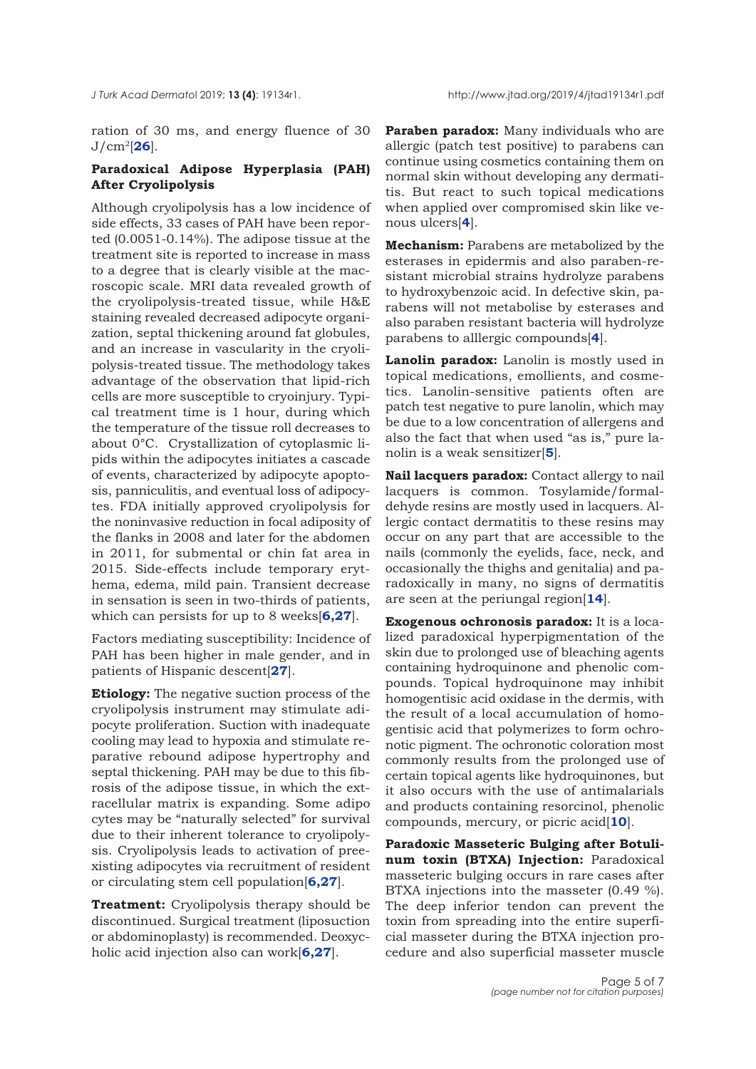ration of 30 ms, and energy fluence of 30 J/cm2[**[26](#page-6-0)**].

# **Paradoxical Adipose Hyperplasia (PAH) After Cryolipolysis**

Although cryolipolysis has a low incidence of side effects, 33 cases of PAH have been reported (0.0051-0.14%). The adipose tissue at the treatment site is reported to increase in mass to a degree that is clearly visible at the macroscopic scale. MRI data revealed growth of the cryolipolysis-treated tissue, while H&E staining revealed decreased adipocyte organization, septal thickening around fat globules, and an increase in vascularity in the cryolipolysis-treated tissue. The methodology takes advantage of the observation that lipid-rich cells are more susceptible to cryoinjury. Typical treatment time is 1 hour, during which the temperature of the tissue roll decreases to about 0°C. Crystallization of cytoplasmic lipids within the adipocytes initiates a cascade of events, characterized by adipocyte apoptosis, panniculitis, and eventual loss of adipocytes. FDA initially approved cryolipolysis for the noninvasive reduction in focal adiposity of the flanks in 2008 and later for the abdomen in 2011, for submental or chin fat area in 2015. Side-effects include temporary erythema, edema, mild pain. Transient decrease in sensation is seen in two-thirds of patients, which can persists for up to 8 weeks[**[6](#page-5-0),[27](#page-6-0)**].

Factors mediating susceptibility: Incidence of PAH has been higher in male gender, and in patients of Hispanic descent[**[27](#page-6-0)**].

**Etiology:** The negative suction process of the cryolipolysis instrument may stimulate adipocyte proliferation. Suction with inadequate cooling may lead to hypoxia and stimulate reparative rebound adipose hypertrophy and septal thickening. PAH may be due to this fibrosis of the adipose tissue, in which the extracellular matrix is expanding. Some adipo cytes may be "naturally selected" for survival due to their inherent tolerance to cryolipolysis. Cryolipolysis leads to activation of preexisting adipocytes via recruitment of resident or circulating stem cell population[**[6,](#page-5-0)[27](#page-6-0)**].

**Treatment:** Cryolipolysis therapy should be discontinued. Surgical treatment (liposuction or abdominoplasty) is recommended. Deoxycholic acid injection also can work[**[6](#page-5-0),[27](#page-6-0)**].

**Paraben paradox:** Many individuals who are allergic (patch test positive) to parabens can continue using cosmetics containing them on normal skin without developing any dermatitis. But react to such topical medications when applied over compromised skin like venous ulcers[**[4](#page-5-0)**].

**Mechanism:** Parabens are metabolized by the esterases in epidermis and also paraben-resistant microbial strains hydrolyze parabens to hydroxybenzoic acid. In defective skin, parabens will not metabolise by esterases and also paraben resistant bacteria will hydrolyze parabens to alllergic compounds[**[4](#page-5-0)**].

**Lanolin paradox:** Lanolin is mostly used in topical medications, emollients, and cosmetics. Lanolin-sensitive patients often are patch test negative to pure lanolin, which may be due to a low concentration of allergens and also the fact that when used "as is," pure lanolin is a weak sensitizer[**[5](#page-5-0)**].

**Nail lacquers paradox:** Contact allergy to nail lacquers is common. Tosylamide/formaldehyde resins are mostly used in lacquers. Allergic contact dermatitis to these resins may occur on any part that are accessible to the nails (commonly the eyelids, face, neck, and occasionally the thighs and genitalia) and paradoxically in many, no signs of dermatitis are seen at the periungal region[**[14](#page-6-0)**].

**Exogenous ochronosis paradox:** It is a localized paradoxical hyperpigmentation of the skin due to prolonged use of bleaching agents containing hydroquinone and phenolic compounds. Topical hydroquinone may inhibit homogentisic acid oxidase in the dermis, with the result of a local accumulation of homogentisic acid that polymerizes to form ochronotic pigment. The ochronotic coloration most commonly results from the prolonged use of certain topical agents like hydroquinones, but it also occurs with the use of antimalarials and products containing resorcinol, phenolic compounds, mercury, or picric acid[**[10](#page-5-0)**].

**Paradoxic Masseteric Bulging after Botulinum toxin (BTXA) Injection:** Paradoxical masseteric bulging occurs in rare cases after BTXA injections into the masseter (0.49 %). The deep inferior tendon can prevent the toxin from spreading into the entire superficial masseter during the BTXA injection procedure and also superficial masseter muscle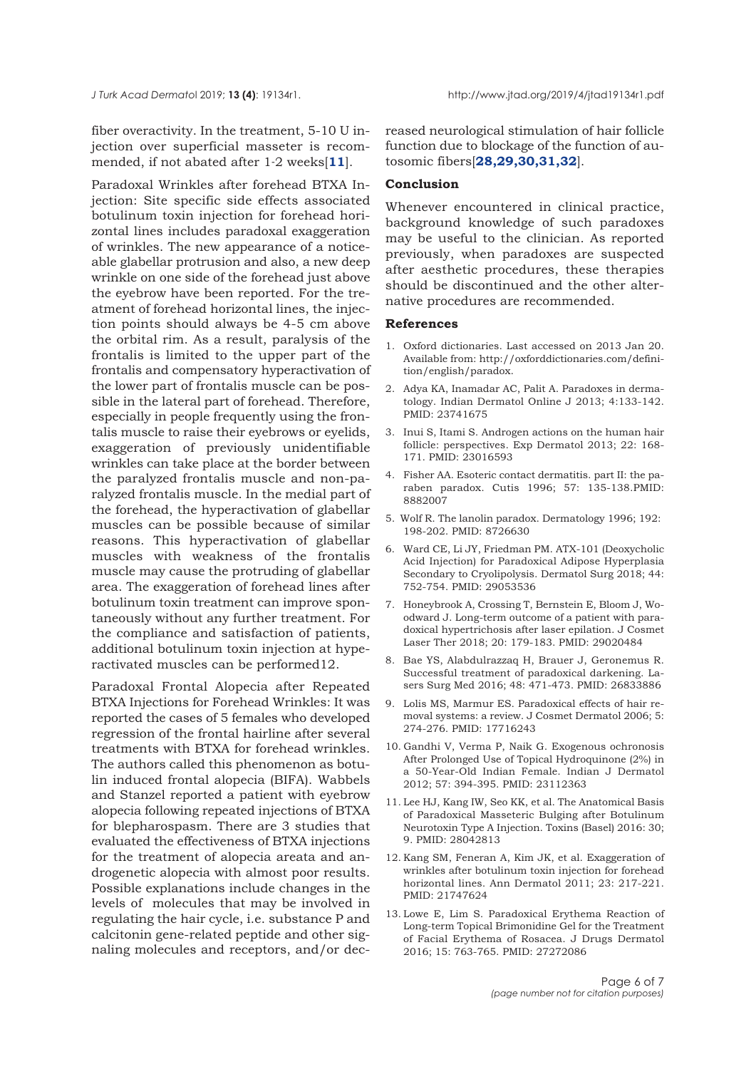<span id="page-5-0"></span>fiber overactivity. In the treatment, 5-10 U injection over superficial masseter is recommended, if not abated after 1-2 weeks[**11**].

Paradoxal Wrinkles after forehead BTXA Injection: Site specific side effects associated botulinum toxin injection for forehead horizontal lines includes paradoxal exaggeration of wrinkles. The new appearance of a noticeable glabellar protrusion and also, a new deep wrinkle on one side of the forehead just above the eyebrow have been reported. For the treatment of forehead horizontal lines, the injection points should always be 4-5 cm above the orbital rim. As a result, paralysis of the frontalis is limited to the upper part of the frontalis and compensatory hyperactivation of the lower part of frontalis muscle can be possible in the lateral part of forehead. Therefore, especially in people frequently using the frontalis muscle to raise their eyebrows or eyelids, exaggeration of previously unidentifiable wrinkles can take place at the border between the paralyzed frontalis muscle and non-paralyzed frontalis muscle. In the medial part of the forehead, the hyperactivation of glabellar muscles can be possible because of similar reasons. This hyperactivation of glabellar muscles with weakness of the frontalis muscle may cause the protruding of glabellar area. The exaggeration of forehead lines after botulinum toxin treatment can improve spontaneously without any further treatment. For the compliance and satisfaction of patients, additional botulinum toxin injection at hyperactivated muscles can be performed12.

Paradoxal Frontal Alopecia after Repeated BTXA Injections for Forehead Wrinkles: It was reported the cases of 5 females who developed regression of the frontal hairline after several treatments with BTXA for forehead wrinkles. The authors called this phenomenon as botulin induced frontal alopecia (BIFA). Wabbels and Stanzel reported a patient with eyebrow alopecia following repeated injections of BTXA for blepharospasm. There are 3 studies that evaluated the effectiveness of BTXA injections for the treatment of alopecia areata and androgenetic alopecia with almost poor results. Possible explanations include changes in the levels of molecules that may be involved in regulating the hair cycle, i.e. substance P and calcitonin gene-related peptide and other signaling molecules and receptors, and/or decreased neurological stimulation of hair follicle function due to blockage of the function of autosomic fibers[**[28,29,30,31,32](#page-6-0)**].

### **Conclusion**

Whenever encountered in clinical practice, background knowledge of such paradoxes may be useful to the clinician. As reported previously, when paradoxes are suspected after aesthetic procedures, these therapies should be discontinued and the other alternative procedures are recommended.

### **References**

- 1. Oxford dictionaries. Last accessed on 2013 Jan 20. Available from: http://oxforddictionaries.com/definition/english/paradox.
- 2. Adya KA, Inamadar AC, Palit A. Paradoxes in dermatology. Indian Dermatol Online J 2013; 4:133-142. PMID: 23741675
- 3. Inui S, Itami S. Androgen actions on the human hair follicle: perspectives. Exp Dermatol 2013; 22: 168- 171. PMID: 23016593
- 4. Fisher AA. Esoteric contact dermatitis. part II: the paraben paradox. Cutis 1996; 57: 135-138.PMID: 8882007
- 5. Wolf R. The lanolin paradox. Dermatology 1996; 192: 198-202. PMID: 8726630
- 6. Ward CE, Li JY, Friedman PM. ATX-101 (Deoxycholic Acid Injection) for Paradoxical Adipose Hyperplasia Secondary to Cryolipolysis. Dermatol Surg 2018; 44: 752-754. PMID: 29053536
- 7. Honeybrook A, Crossing T, Bernstein E, Bloom J, Woodward J. Long-term outcome of a patient with paradoxical hypertrichosis after laser epilation. J Cosmet Laser Ther 2018; 20: 179-183. PMID: 29020484
- 8. Bae YS, Alabdulrazzaq H, Brauer J, Geronemus R. Successful treatment of paradoxical darkening. Lasers Surg Med 2016; 48: 471-473. PMID: 26833886
- 9. Lolis MS, Marmur ES. Paradoxical effects of hair removal systems: a review. J Cosmet Dermatol 2006; 5: 274-276. PMID: 17716243
- 10. Gandhi V, Verma P, Naik G. Exogenous ochronosis After Prolonged Use of Topical Hydroquinone (2%) in a 50-Year-Old Indian Female. Indian J Dermatol 2012; 57: 394-395. PMID: 23112363
- 11. Lee HJ, Kang IW, Seo KK, et al. The Anatomical Basis of Paradoxical Masseteric Bulging after Botulinum Neurotoxin Type A Injection. Toxins (Basel) 2016: 30; 9. PMID: 28042813
- 12. Kang SM, Feneran A, Kim JK, et al. Exaggeration of wrinkles after botulinum toxin injection for forehead horizontal lines. Ann Dermatol 2011; 23: 217-221. PMID: 21747624
- 13. Lowe E, Lim S. Paradoxical Erythema Reaction of Long-term Topical Brimonidine Gel for the Treatment of Facial Erythema of Rosacea. J Drugs Dermatol 2016; 15: 763-765. PMID: 27272086